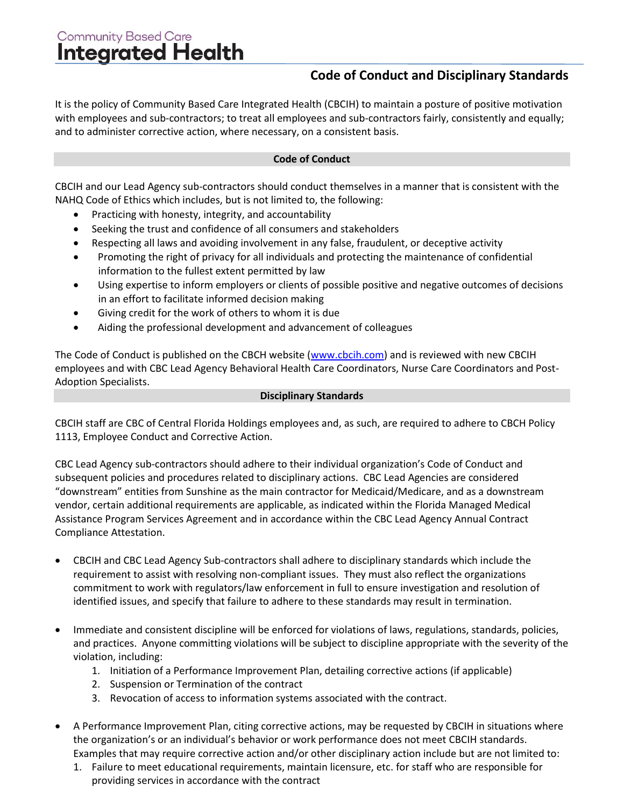## Community Based Care<br>Integrated Health

## **Code of Conduct and Disciplinary Standards**

It is the policy of Community Based Care Integrated Health (CBCIH) to maintain a posture of positive motivation with employees and sub-contractors; to treat all employees and sub-contractors fairly, consistently and equally; and to administer corrective action, where necessary, on a consistent basis.

## **Code of Conduct**

CBCIH and our Lead Agency sub-contractors should conduct themselves in a manner that is consistent with the NAHQ Code of Ethics which includes, but is not limited to, the following:

- Practicing with honesty, integrity, and accountability
- Seeking the trust and confidence of all consumers and stakeholders
- Respecting all laws and avoiding involvement in any false, fraudulent, or deceptive activity
- Promoting the right of privacy for all individuals and protecting the maintenance of confidential information to the fullest extent permitted by law
- Using expertise to inform employers or clients of possible positive and negative outcomes of decisions in an effort to facilitate informed decision making
- Giving credit for the work of others to whom it is due
- Aiding the professional development and advancement of colleagues

The Code of Conduct is published on the CBCH website [\(www.cbcih.com\)](http://www.cbcih.com/) and is reviewed with new CBCIH employees and with CBC Lead Agency Behavioral Health Care Coordinators, Nurse Care Coordinators and Post-Adoption Specialists.

## **Disciplinary Standards**

CBCIH staff are CBC of Central Florida Holdings employees and, as such, are required to adhere to CBCH Policy 1113, Employee Conduct and Corrective Action.

CBC Lead Agency sub-contractors should adhere to their individual organization's Code of Conduct and subsequent policies and procedures related to disciplinary actions. CBC Lead Agencies are considered "downstream" entities from Sunshine as the main contractor for Medicaid/Medicare, and as a downstream vendor, certain additional requirements are applicable, as indicated within the Florida Managed Medical Assistance Program Services Agreement and in accordance within the CBC Lead Agency Annual Contract Compliance Attestation.

- CBCIH and CBC Lead Agency Sub-contractors shall adhere to disciplinary standards which include the requirement to assist with resolving non-compliant issues. They must also reflect the organizations commitment to work with regulators/law enforcement in full to ensure investigation and resolution of identified issues, and specify that failure to adhere to these standards may result in termination.
- Immediate and consistent discipline will be enforced for violations of laws, regulations, standards, policies, and practices. Anyone committing violations will be subject to discipline appropriate with the severity of the violation, including:
	- 1. Initiation of a Performance Improvement Plan, detailing corrective actions (if applicable)
	- 2. Suspension or Termination of the contract
	- 3. Revocation of access to information systems associated with the contract.
- A Performance Improvement Plan, citing corrective actions, may be requested by CBCIH in situations where the organization's or an individual's behavior or work performance does not meet CBCIH standards. Examples that may require corrective action and/or other disciplinary action include but are not limited to:
	- 1. Failure to meet educational requirements, maintain licensure, etc. for staff who are responsible for providing services in accordance with the contract